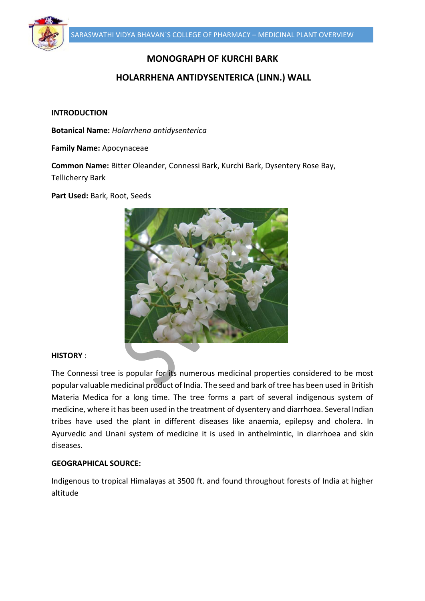

# **MONOGRAPH OF KURCHI BARK**

# **HOLARRHENA ANTIDYSENTERICA (LINN.) WALL**

#### **INTRODUCTION**

**Botanical Name:** *Holarrhena antidysenterica*

**Family Name:** Apocynaceae

**Common Name:** Bitter Oleander, Connessi Bark, Kurchi Bark, Dysentery Rose Bay, Tellicherry Bark

**Part Used:** Bark, Root, Seeds



## **HISTORY** :

The Connessi tree is popular for its numerous medicinal properties considered to be most popular valuable medicinal product of India. The seed and bark of tree has been used in British Materia Medica for a long time. The tree forms a part of several indigenous system of medicine, where it has been used in the treatment of dysentery and diarrhoea. Several Indian tribes have used the plant in different diseases like anaemia, epilepsy and cholera. In Ayurvedic and Unani system of medicine it is used in anthelmintic, in diarrhoea and skin diseases.

### **GEOGRAPHICAL SOURCE:**

Indigenous to tropical Himalayas at 3500 ft. and found throughout forests of India at higher altitude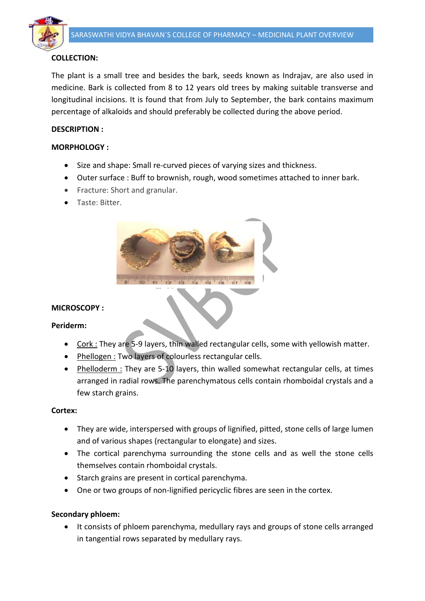

# **COLLECTION:**

The plant is a small tree and besides the bark, seeds known as Indrajav, are also used in medicine. Bark is collected from 8 to 12 years old trees by making suitable transverse and longitudinal incisions. It is found that from July to September, the bark contains maximum percentage of alkaloids and should preferably be collected during the above period.

# **DESCRIPTION :**

## **MORPHOLOGY :**

- Size and shape: Small re-curved pieces of varying sizes and thickness.
- Outer surface : Buff to brownish, rough, wood sometimes attached to inner bark.
- Fracture: Short and granular.
- Taste: Bitter.



### **MICROSCOPY :**

**Periderm:**

- Cork : They are 5-9 layers, thin walled rectangular cells, some with yellowish matter.
- Phellogen : Two layers of colourless rectangular cells.
- Phelloderm : They are 5-10 layers, thin walled somewhat rectangular cells, at times arranged in radial rows. The parenchymatous cells contain rhomboidal crystals and a few starch grains.

### **Cortex:**

- They are wide, interspersed with groups of lignified, pitted, stone cells of large lumen and of various shapes (rectangular to elongate) and sizes.
- The cortical parenchyma surrounding the stone cells and as well the stone cells themselves contain rhomboidal crystals.
- Starch grains are present in cortical parenchyma.
- One or two groups of non-lignified pericyclic fibres are seen in the cortex.

### **Secondary phloem:**

• It consists of phloem parenchyma, medullary rays and groups of stone cells arranged in tangential rows separated by medullary rays.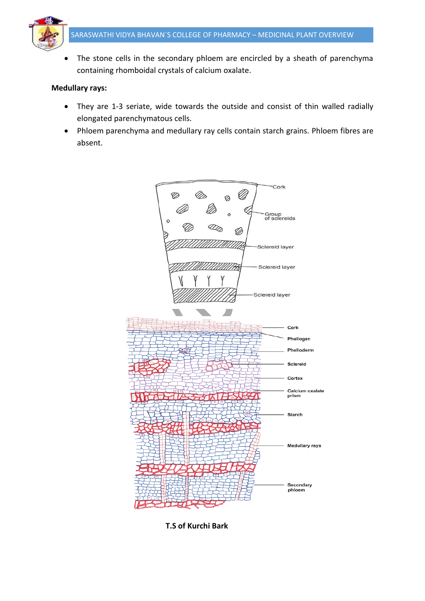

• The stone cells in the secondary phloem are encircled by a sheath of parenchyma containing rhomboidal crystals of calcium oxalate.

#### **Medullary rays:**

- They are 1-3 seriate, wide towards the outside and consist of thin walled radially elongated parenchymatous cells.
- Phloem parenchyma and medullary ray cells contain starch grains. Phloem fibres are absent.



 **T.S of Kurchi Bark**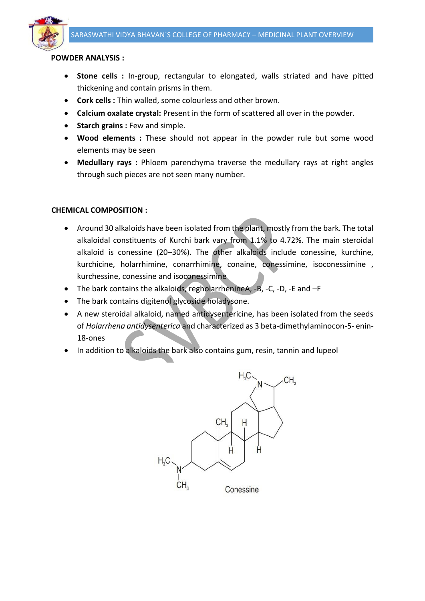

#### **POWDER ANALYSIS :**

- **Stone cells :** In-group, rectangular to elongated, walls striated and have pitted thickening and contain prisms in them.
- **Cork cells :** Thin walled, some colourless and other brown.
- **Calcium oxalate crystal:** Present in the form of scattered all over in the powder.
- **Starch grains : Few and simple.**
- **Wood elements :** These should not appear in the powder rule but some wood elements may be seen
- **Medullary rays :** Phloem parenchyma traverse the medullary rays at right angles through such pieces are not seen many number.

### **CHEMICAL COMPOSITION :**

- Around 30 alkaloids have been isolated from the plant, mostly from the bark. The total alkaloidal constituents of Kurchi bark vary from 1.1% to 4.72%. The main steroidal alkaloid is conessine (20–30%). The other alkaloids include conessine, kurchine, kurchicine, holarrhimine, conarrhimine, conaine, conessimine, isoconessimine , kurchessine, conessine and isoconessimine
- The bark contains the alkaloids, regholarrhenineA, -B, -C, -D, -E and -F
- The bark contains digitenol glycoside holadysone.
- A new steroidal alkaloid, named antidysentericine, has been isolated from the seeds of *Holarrhena antidysenterica* and characterized as 3 beta-dimethylaminocon-5- enin-18-ones
- In addition to alkaloids the bark also contains gum, resin, tannin and lupeol